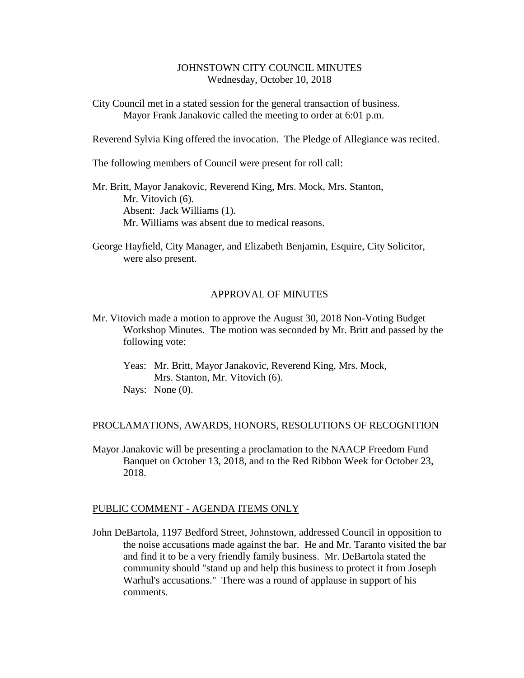## JOHNSTOWN CITY COUNCIL MINUTES Wednesday, October 10, 2018

City Council met in a stated session for the general transaction of business. Mayor Frank Janakovic called the meeting to order at 6:01 p.m.

Reverend Sylvia King offered the invocation. The Pledge of Allegiance was recited.

The following members of Council were present for roll call:

Mr. Britt, Mayor Janakovic, Reverend King, Mrs. Mock, Mrs. Stanton, Mr. Vitovich (6). Absent: Jack Williams (1). Mr. Williams was absent due to medical reasons.

George Hayfield, City Manager, and Elizabeth Benjamin, Esquire, City Solicitor, were also present.

### APPROVAL OF MINUTES

- Mr. Vitovich made a motion to approve the August 30, 2018 Non-Voting Budget Workshop Minutes. The motion was seconded by Mr. Britt and passed by the following vote:
	- Yeas: Mr. Britt, Mayor Janakovic, Reverend King, Mrs. Mock, Mrs. Stanton, Mr. Vitovich (6). Nays: None  $(0)$ .

#### PROCLAMATIONS, AWARDS, HONORS, RESOLUTIONS OF RECOGNITION

Mayor Janakovic will be presenting a proclamation to the NAACP Freedom Fund Banquet on October 13, 2018, and to the Red Ribbon Week for October 23, 2018.

#### PUBLIC COMMENT - AGENDA ITEMS ONLY

John DeBartola, 1197 Bedford Street, Johnstown, addressed Council in opposition to the noise accusations made against the bar. He and Mr. Taranto visited the bar and find it to be a very friendly family business. Mr. DeBartola stated the community should "stand up and help this business to protect it from Joseph Warhul's accusations." There was a round of applause in support of his comments.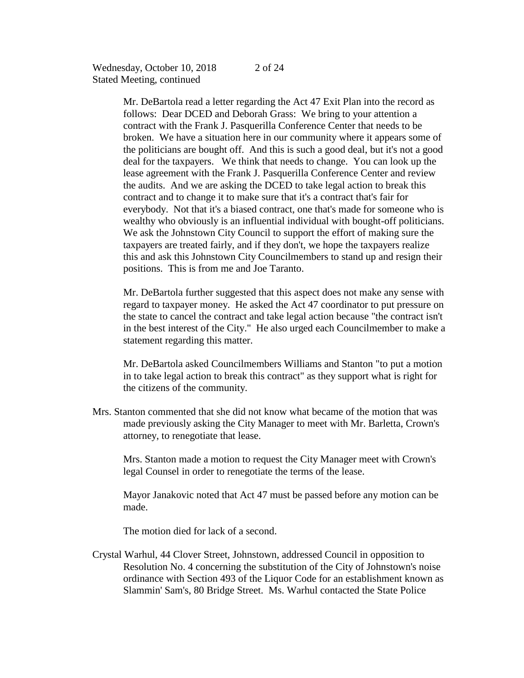Mr. DeBartola read a letter regarding the Act 47 Exit Plan into the record as follows: Dear DCED and Deborah Grass: We bring to your attention a contract with the Frank J. Pasquerilla Conference Center that needs to be broken. We have a situation here in our community where it appears some of the politicians are bought off. And this is such a good deal, but it's not a good deal for the taxpayers. We think that needs to change. You can look up the lease agreement with the Frank J. Pasquerilla Conference Center and review the audits. And we are asking the DCED to take legal action to break this contract and to change it to make sure that it's a contract that's fair for everybody. Not that it's a biased contract, one that's made for someone who is wealthy who obviously is an influential individual with bought-off politicians. We ask the Johnstown City Council to support the effort of making sure the taxpayers are treated fairly, and if they don't, we hope the taxpayers realize this and ask this Johnstown City Councilmembers to stand up and resign their positions. This is from me and Joe Taranto.

Mr. DeBartola further suggested that this aspect does not make any sense with regard to taxpayer money. He asked the Act 47 coordinator to put pressure on the state to cancel the contract and take legal action because "the contract isn't in the best interest of the City." He also urged each Councilmember to make a statement regarding this matter.

Mr. DeBartola asked Councilmembers Williams and Stanton "to put a motion in to take legal action to break this contract" as they support what is right for the citizens of the community.

Mrs. Stanton commented that she did not know what became of the motion that was made previously asking the City Manager to meet with Mr. Barletta, Crown's attorney, to renegotiate that lease.

Mrs. Stanton made a motion to request the City Manager meet with Crown's legal Counsel in order to renegotiate the terms of the lease.

Mayor Janakovic noted that Act 47 must be passed before any motion can be made.

The motion died for lack of a second.

Crystal Warhul, 44 Clover Street, Johnstown, addressed Council in opposition to Resolution No. 4 concerning the substitution of the City of Johnstown's noise ordinance with Section 493 of the Liquor Code for an establishment known as Slammin' Sam's, 80 Bridge Street. Ms. Warhul contacted the State Police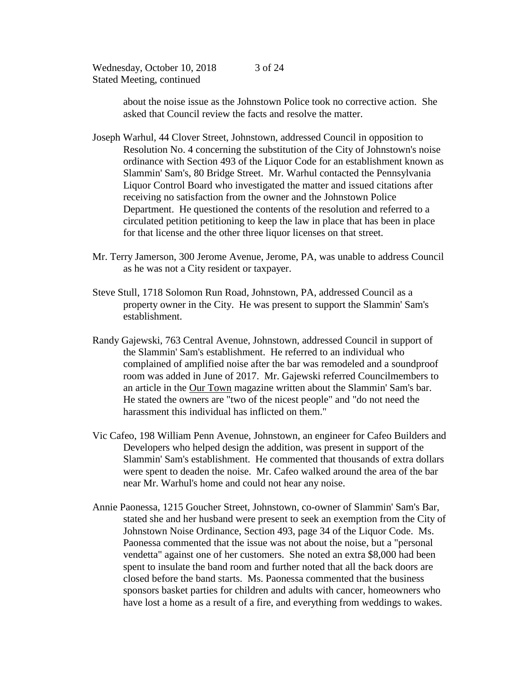> about the noise issue as the Johnstown Police took no corrective action. She asked that Council review the facts and resolve the matter.

- Joseph Warhul, 44 Clover Street, Johnstown, addressed Council in opposition to Resolution No. 4 concerning the substitution of the City of Johnstown's noise ordinance with Section 493 of the Liquor Code for an establishment known as Slammin' Sam's, 80 Bridge Street. Mr. Warhul contacted the Pennsylvania Liquor Control Board who investigated the matter and issued citations after receiving no satisfaction from the owner and the Johnstown Police Department. He questioned the contents of the resolution and referred to a circulated petition petitioning to keep the law in place that has been in place for that license and the other three liquor licenses on that street.
- Mr. Terry Jamerson, 300 Jerome Avenue, Jerome, PA, was unable to address Council as he was not a City resident or taxpayer.
- Steve Stull, 1718 Solomon Run Road, Johnstown, PA, addressed Council as a property owner in the City. He was present to support the Slammin' Sam's establishment.
- Randy Gajewski, 763 Central Avenue, Johnstown, addressed Council in support of the Slammin' Sam's establishment. He referred to an individual who complained of amplified noise after the bar was remodeled and a soundproof room was added in June of 2017. Mr. Gajewski referred Councilmembers to an article in the Our Town magazine written about the Slammin' Sam's bar. He stated the owners are "two of the nicest people" and "do not need the harassment this individual has inflicted on them."
- Vic Cafeo, 198 William Penn Avenue, Johnstown, an engineer for Cafeo Builders and Developers who helped design the addition, was present in support of the Slammin' Sam's establishment. He commented that thousands of extra dollars were spent to deaden the noise. Mr. Cafeo walked around the area of the bar near Mr. Warhul's home and could not hear any noise.
- Annie Paonessa, 1215 Goucher Street, Johnstown, co-owner of Slammin' Sam's Bar, stated she and her husband were present to seek an exemption from the City of Johnstown Noise Ordinance, Section 493, page 34 of the Liquor Code. Ms. Paonessa commented that the issue was not about the noise, but a "personal vendetta" against one of her customers. She noted an extra \$8,000 had been spent to insulate the band room and further noted that all the back doors are closed before the band starts. Ms. Paonessa commented that the business sponsors basket parties for children and adults with cancer, homeowners who have lost a home as a result of a fire, and everything from weddings to wakes.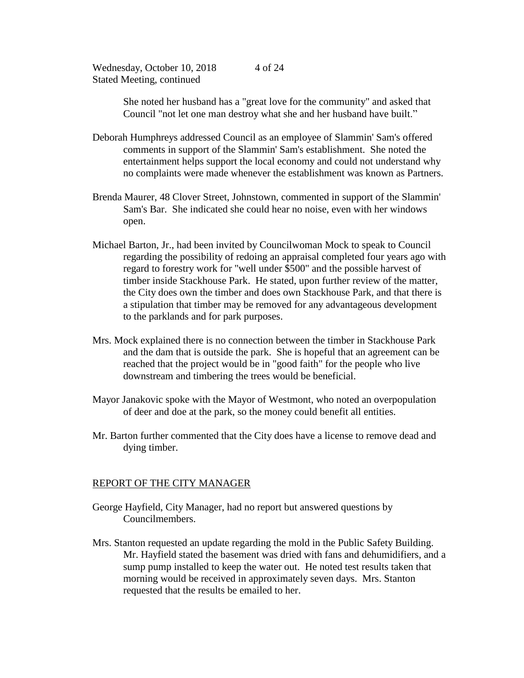> She noted her husband has a "great love for the community" and asked that Council "not let one man destroy what she and her husband have built."

- Deborah Humphreys addressed Council as an employee of Slammin' Sam's offered comments in support of the Slammin' Sam's establishment. She noted the entertainment helps support the local economy and could not understand why no complaints were made whenever the establishment was known as Partners.
- Brenda Maurer, 48 Clover Street, Johnstown, commented in support of the Slammin' Sam's Bar. She indicated she could hear no noise, even with her windows open.
- Michael Barton, Jr., had been invited by Councilwoman Mock to speak to Council regarding the possibility of redoing an appraisal completed four years ago with regard to forestry work for "well under \$500" and the possible harvest of timber inside Stackhouse Park. He stated, upon further review of the matter, the City does own the timber and does own Stackhouse Park, and that there is a stipulation that timber may be removed for any advantageous development to the parklands and for park purposes.
- Mrs. Mock explained there is no connection between the timber in Stackhouse Park and the dam that is outside the park. She is hopeful that an agreement can be reached that the project would be in "good faith" for the people who live downstream and timbering the trees would be beneficial.
- Mayor Janakovic spoke with the Mayor of Westmont, who noted an overpopulation of deer and doe at the park, so the money could benefit all entities.
- Mr. Barton further commented that the City does have a license to remove dead and dying timber.

## REPORT OF THE CITY MANAGER

- George Hayfield, City Manager, had no report but answered questions by Councilmembers.
- Mrs. Stanton requested an update regarding the mold in the Public Safety Building. Mr. Hayfield stated the basement was dried with fans and dehumidifiers, and a sump pump installed to keep the water out. He noted test results taken that morning would be received in approximately seven days. Mrs. Stanton requested that the results be emailed to her.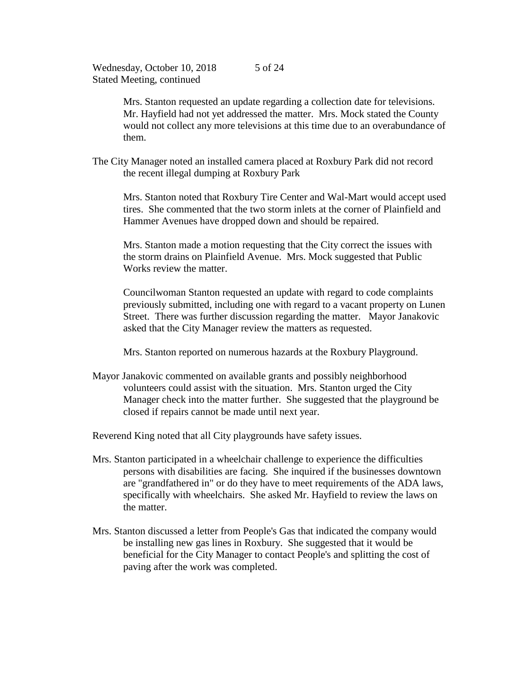> Mrs. Stanton requested an update regarding a collection date for televisions. Mr. Hayfield had not yet addressed the matter. Mrs. Mock stated the County would not collect any more televisions at this time due to an overabundance of them.

The City Manager noted an installed camera placed at Roxbury Park did not record the recent illegal dumping at Roxbury Park

Mrs. Stanton noted that Roxbury Tire Center and Wal-Mart would accept used tires. She commented that the two storm inlets at the corner of Plainfield and Hammer Avenues have dropped down and should be repaired.

Mrs. Stanton made a motion requesting that the City correct the issues with the storm drains on Plainfield Avenue. Mrs. Mock suggested that Public Works review the matter.

Councilwoman Stanton requested an update with regard to code complaints previously submitted, including one with regard to a vacant property on Lunen Street. There was further discussion regarding the matter. Mayor Janakovic asked that the City Manager review the matters as requested.

Mrs. Stanton reported on numerous hazards at the Roxbury Playground.

Mayor Janakovic commented on available grants and possibly neighborhood volunteers could assist with the situation. Mrs. Stanton urged the City Manager check into the matter further. She suggested that the playground be closed if repairs cannot be made until next year.

Reverend King noted that all City playgrounds have safety issues.

- Mrs. Stanton participated in a wheelchair challenge to experience the difficulties persons with disabilities are facing. She inquired if the businesses downtown are "grandfathered in" or do they have to meet requirements of the ADA laws, specifically with wheelchairs. She asked Mr. Hayfield to review the laws on the matter.
- Mrs. Stanton discussed a letter from People's Gas that indicated the company would be installing new gas lines in Roxbury. She suggested that it would be beneficial for the City Manager to contact People's and splitting the cost of paving after the work was completed.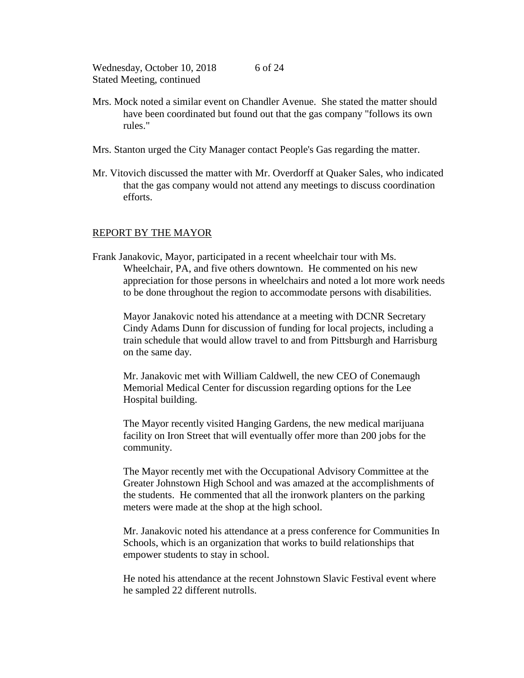- Mrs. Mock noted a similar event on Chandler Avenue. She stated the matter should have been coordinated but found out that the gas company "follows its own rules."
- Mrs. Stanton urged the City Manager contact People's Gas regarding the matter.
- Mr. Vitovich discussed the matter with Mr. Overdorff at Quaker Sales, who indicated that the gas company would not attend any meetings to discuss coordination efforts.

## REPORT BY THE MAYOR

Frank Janakovic, Mayor, participated in a recent wheelchair tour with Ms. Wheelchair, PA, and five others downtown. He commented on his new appreciation for those persons in wheelchairs and noted a lot more work needs to be done throughout the region to accommodate persons with disabilities.

Mayor Janakovic noted his attendance at a meeting with DCNR Secretary Cindy Adams Dunn for discussion of funding for local projects, including a train schedule that would allow travel to and from Pittsburgh and Harrisburg on the same day.

Mr. Janakovic met with William Caldwell, the new CEO of Conemaugh Memorial Medical Center for discussion regarding options for the Lee Hospital building.

The Mayor recently visited Hanging Gardens, the new medical marijuana facility on Iron Street that will eventually offer more than 200 jobs for the community.

The Mayor recently met with the Occupational Advisory Committee at the Greater Johnstown High School and was amazed at the accomplishments of the students. He commented that all the ironwork planters on the parking meters were made at the shop at the high school.

Mr. Janakovic noted his attendance at a press conference for Communities In Schools, which is an organization that works to build relationships that empower students to stay in school.

He noted his attendance at the recent Johnstown Slavic Festival event where he sampled 22 different nutrolls.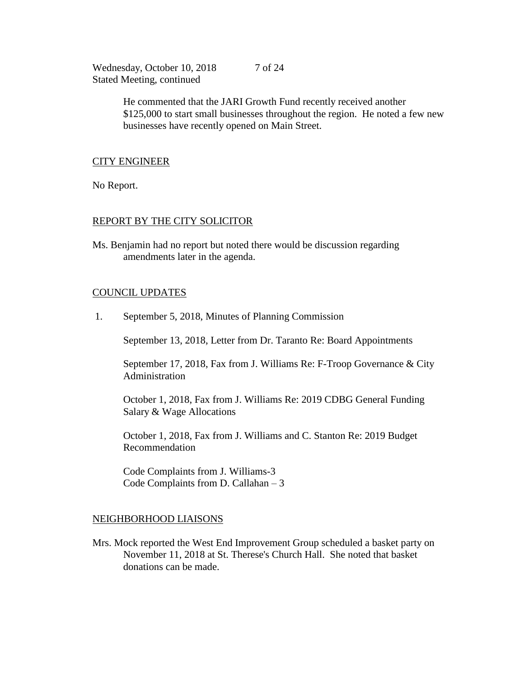> He commented that the JARI Growth Fund recently received another \$125,000 to start small businesses throughout the region. He noted a few new businesses have recently opened on Main Street.

## CITY ENGINEER

No Report.

## REPORT BY THE CITY SOLICITOR

Ms. Benjamin had no report but noted there would be discussion regarding amendments later in the agenda.

## COUNCIL UPDATES

1. September 5, 2018, Minutes of Planning Commission

September 13, 2018, Letter from Dr. Taranto Re: Board Appointments

September 17, 2018, Fax from J. Williams Re: F-Troop Governance & City Administration

October 1, 2018, Fax from J. Williams Re: 2019 CDBG General Funding Salary & Wage Allocations

October 1, 2018, Fax from J. Williams and C. Stanton Re: 2019 Budget Recommendation

Code Complaints from J. Williams-3 Code Complaints from D. Callahan – 3

## NEIGHBORHOOD LIAISONS

Mrs. Mock reported the West End Improvement Group scheduled a basket party on November 11, 2018 at St. Therese's Church Hall. She noted that basket donations can be made.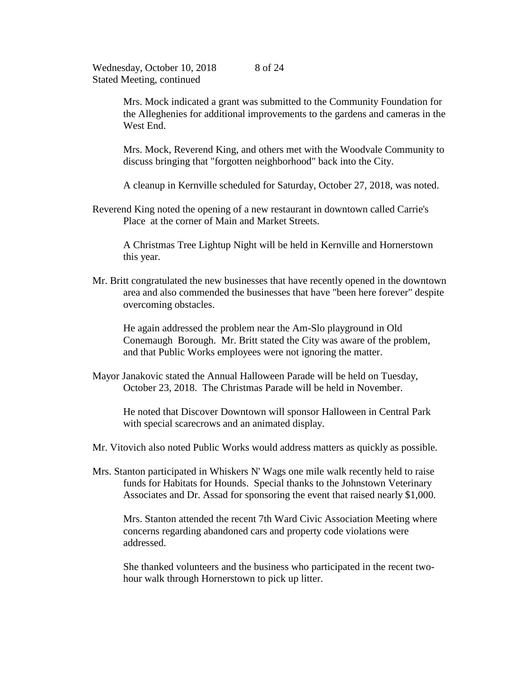> Mrs. Mock indicated a grant was submitted to the Community Foundation for the Alleghenies for additional improvements to the gardens and cameras in the West End.

> Mrs. Mock, Reverend King, and others met with the Woodvale Community to discuss bringing that "forgotten neighborhood" back into the City.

A cleanup in Kernville scheduled for Saturday, October 27, 2018, was noted.

Reverend King noted the opening of a new restaurant in downtown called Carrie's Place at the corner of Main and Market Streets.

A Christmas Tree Lightup Night will be held in Kernville and Hornerstown this year.

Mr. Britt congratulated the new businesses that have recently opened in the downtown area and also commended the businesses that have "been here forever" despite overcoming obstacles.

He again addressed the problem near the Am-Slo playground in Old Conemaugh Borough. Mr. Britt stated the City was aware of the problem, and that Public Works employees were not ignoring the matter.

Mayor Janakovic stated the Annual Halloween Parade will be held on Tuesday, October 23, 2018. The Christmas Parade will be held in November.

He noted that Discover Downtown will sponsor Halloween in Central Park with special scarecrows and an animated display.

- Mr. Vitovich also noted Public Works would address matters as quickly as possible.
- Mrs. Stanton participated in Whiskers N' Wags one mile walk recently held to raise funds for Habitats for Hounds. Special thanks to the Johnstown Veterinary Associates and Dr. Assad for sponsoring the event that raised nearly \$1,000.

Mrs. Stanton attended the recent 7th Ward Civic Association Meeting where concerns regarding abandoned cars and property code violations were addressed.

She thanked volunteers and the business who participated in the recent twohour walk through Hornerstown to pick up litter.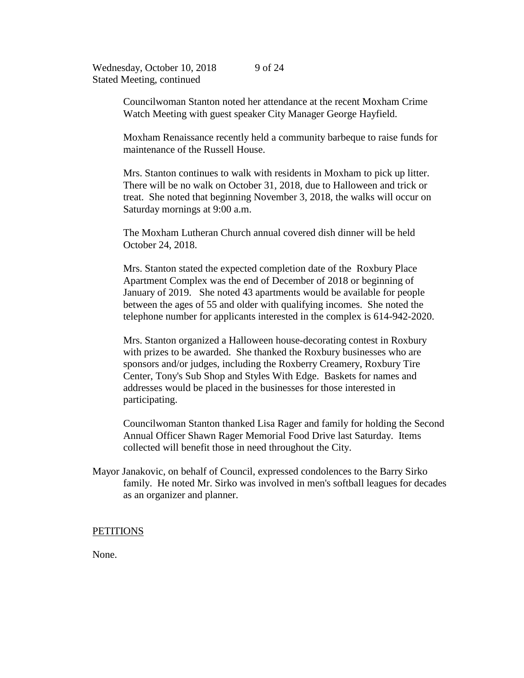> Councilwoman Stanton noted her attendance at the recent Moxham Crime Watch Meeting with guest speaker City Manager George Hayfield.

Moxham Renaissance recently held a community barbeque to raise funds for maintenance of the Russell House.

Mrs. Stanton continues to walk with residents in Moxham to pick up litter. There will be no walk on October 31, 2018, due to Halloween and trick or treat. She noted that beginning November 3, 2018, the walks will occur on Saturday mornings at 9:00 a.m.

The Moxham Lutheran Church annual covered dish dinner will be held October 24, 2018.

Mrs. Stanton stated the expected completion date of the Roxbury Place Apartment Complex was the end of December of 2018 or beginning of January of 2019. She noted 43 apartments would be available for people between the ages of 55 and older with qualifying incomes. She noted the telephone number for applicants interested in the complex is 614-942-2020.

Mrs. Stanton organized a Halloween house-decorating contest in Roxbury with prizes to be awarded. She thanked the Roxbury businesses who are sponsors and/or judges, including the Roxberry Creamery, Roxbury Tire Center, Tony's Sub Shop and Styles With Edge. Baskets for names and addresses would be placed in the businesses for those interested in participating.

Councilwoman Stanton thanked Lisa Rager and family for holding the Second Annual Officer Shawn Rager Memorial Food Drive last Saturday. Items collected will benefit those in need throughout the City.

Mayor Janakovic, on behalf of Council, expressed condolences to the Barry Sirko family. He noted Mr. Sirko was involved in men's softball leagues for decades as an organizer and planner.

#### **PETITIONS**

None.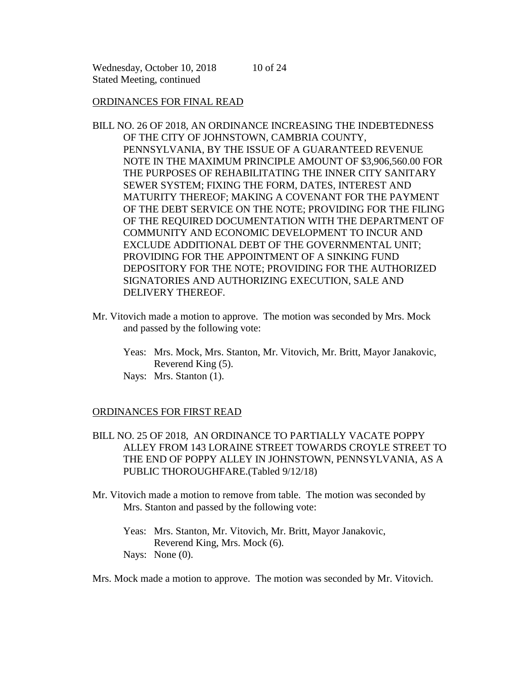### ORDINANCES FOR FINAL READ

BILL NO. 26 OF 2018, AN ORDINANCE INCREASING THE INDEBTEDNESS OF THE CITY OF JOHNSTOWN, CAMBRIA COUNTY, PENNSYLVANIA, BY THE ISSUE OF A GUARANTEED REVENUE NOTE IN THE MAXIMUM PRINCIPLE AMOUNT OF \$3,906,560.00 FOR THE PURPOSES OF REHABILITATING THE INNER CITY SANITARY SEWER SYSTEM; FIXING THE FORM, DATES, INTEREST AND MATURITY THEREOF; MAKING A COVENANT FOR THE PAYMENT OF THE DEBT SERVICE ON THE NOTE; PROVIDING FOR THE FILING OF THE REQUIRED DOCUMENTATION WITH THE DEPARTMENT OF COMMUNITY AND ECONOMIC DEVELOPMENT TO INCUR AND EXCLUDE ADDITIONAL DEBT OF THE GOVERNMENTAL UNIT; PROVIDING FOR THE APPOINTMENT OF A SINKING FUND DEPOSITORY FOR THE NOTE; PROVIDING FOR THE AUTHORIZED SIGNATORIES AND AUTHORIZING EXECUTION, SALE AND DELIVERY THEREOF.

10 of 24

- Mr. Vitovich made a motion to approve. The motion was seconded by Mrs. Mock and passed by the following vote:
	- Yeas: Mrs. Mock, Mrs. Stanton, Mr. Vitovich, Mr. Britt, Mayor Janakovic, Reverend King (5).

Nays: Mrs. Stanton (1).

## ORDINANCES FOR FIRST READ

- BILL NO. 25 OF 2018, AN ORDINANCE TO PARTIALLY VACATE POPPY ALLEY FROM 143 LORAINE STREET TOWARDS CROYLE STREET TO THE END OF POPPY ALLEY IN JOHNSTOWN, PENNSYLVANIA, AS A PUBLIC THOROUGHFARE.(Tabled 9/12/18)
- Mr. Vitovich made a motion to remove from table. The motion was seconded by Mrs. Stanton and passed by the following vote:

Yeas: Mrs. Stanton, Mr. Vitovich, Mr. Britt, Mayor Janakovic, Reverend King, Mrs. Mock (6). Nays: None (0).

Mrs. Mock made a motion to approve. The motion was seconded by Mr. Vitovich.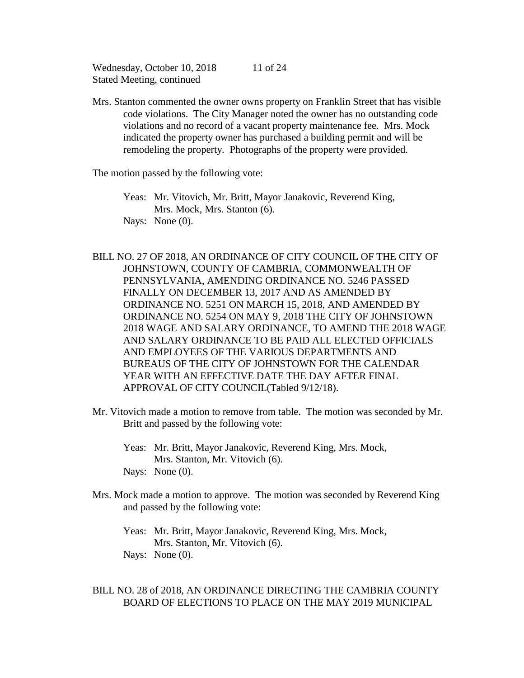Mrs. Stanton commented the owner owns property on Franklin Street that has visible code violations. The City Manager noted the owner has no outstanding code violations and no record of a vacant property maintenance fee. Mrs. Mock indicated the property owner has purchased a building permit and will be remodeling the property. Photographs of the property were provided.

The motion passed by the following vote:

- Yeas: Mr. Vitovich, Mr. Britt, Mayor Janakovic, Reverend King, Mrs. Mock, Mrs. Stanton (6). Nays: None (0).
- BILL NO. 27 OF 2018, AN ORDINANCE OF CITY COUNCIL OF THE CITY OF JOHNSTOWN, COUNTY OF CAMBRIA, COMMONWEALTH OF PENNSYLVANIA, AMENDING ORDINANCE NO. 5246 PASSED FINALLY ON DECEMBER 13, 2017 AND AS AMENDED BY ORDINANCE NO. 5251 ON MARCH 15, 2018, AND AMENDED BY ORDINANCE NO. 5254 ON MAY 9, 2018 THE CITY OF JOHNSTOWN 2018 WAGE AND SALARY ORDINANCE, TO AMEND THE 2018 WAGE AND SALARY ORDINANCE TO BE PAID ALL ELECTED OFFICIALS AND EMPLOYEES OF THE VARIOUS DEPARTMENTS AND BUREAUS OF THE CITY OF JOHNSTOWN FOR THE CALENDAR YEAR WITH AN EFFECTIVE DATE THE DAY AFTER FINAL APPROVAL OF CITY COUNCIL(Tabled 9/12/18).
- Mr. Vitovich made a motion to remove from table. The motion was seconded by Mr. Britt and passed by the following vote:
	- Yeas: Mr. Britt, Mayor Janakovic, Reverend King, Mrs. Mock, Mrs. Stanton, Mr. Vitovich (6). Nays: None (0).
- Mrs. Mock made a motion to approve. The motion was seconded by Reverend King and passed by the following vote:

Yeas: Mr. Britt, Mayor Janakovic, Reverend King, Mrs. Mock, Mrs. Stanton, Mr. Vitovich (6). Nays: None (0).

BILL NO. 28 of 2018, AN ORDINANCE DIRECTING THE CAMBRIA COUNTY BOARD OF ELECTIONS TO PLACE ON THE MAY 2019 MUNICIPAL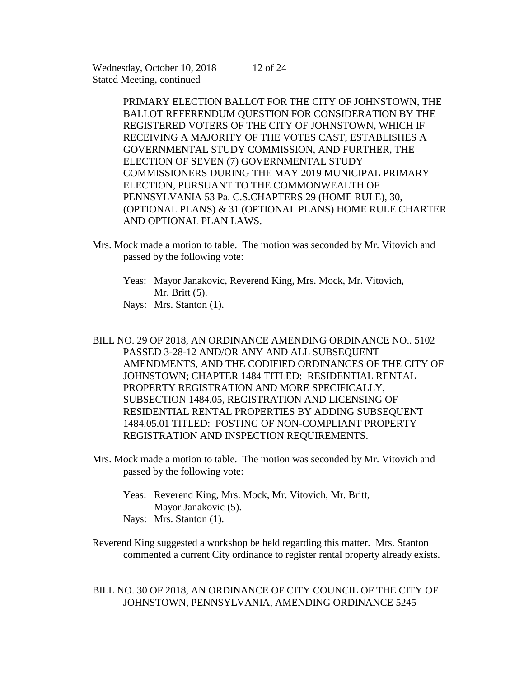PRIMARY ELECTION BALLOT FOR THE CITY OF JOHNSTOWN, THE BALLOT REFERENDUM QUESTION FOR CONSIDERATION BY THE REGISTERED VOTERS OF THE CITY OF JOHNSTOWN, WHICH IF RECEIVING A MAJORITY OF THE VOTES CAST, ESTABLISHES A GOVERNMENTAL STUDY COMMISSION, AND FURTHER, THE ELECTION OF SEVEN (7) GOVERNMENTAL STUDY COMMISSIONERS DURING THE MAY 2019 MUNICIPAL PRIMARY ELECTION, PURSUANT TO THE COMMONWEALTH OF PENNSYLVANIA 53 Pa. C.S.CHAPTERS 29 (HOME RULE), 30, (OPTIONAL PLANS) & 31 (OPTIONAL PLANS) HOME RULE CHARTER AND OPTIONAL PLAN LAWS.

- Mrs. Mock made a motion to table. The motion was seconded by Mr. Vitovich and passed by the following vote:
	- Yeas: Mayor Janakovic, Reverend King, Mrs. Mock, Mr. Vitovich, Mr. Britt (5). Nays: Mrs. Stanton (1).
- BILL NO. 29 OF 2018, AN ORDINANCE AMENDING ORDINANCE NO.. 5102 PASSED 3-28-12 AND/OR ANY AND ALL SUBSEQUENT AMENDMENTS, AND THE CODIFIED ORDINANCES OF THE CITY OF JOHNSTOWN; CHAPTER 1484 TITLED: RESIDENTIAL RENTAL PROPERTY REGISTRATION AND MORE SPECIFICALLY, SUBSECTION 1484.05, REGISTRATION AND LICENSING OF RESIDENTIAL RENTAL PROPERTIES BY ADDING SUBSEQUENT 1484.05.01 TITLED: POSTING OF NON-COMPLIANT PROPERTY REGISTRATION AND INSPECTION REQUIREMENTS.
- Mrs. Mock made a motion to table. The motion was seconded by Mr. Vitovich and passed by the following vote:
	- Yeas: Reverend King, Mrs. Mock, Mr. Vitovich, Mr. Britt, Mayor Janakovic (5).
	- Nays: Mrs. Stanton (1).

Reverend King suggested a workshop be held regarding this matter. Mrs. Stanton commented a current City ordinance to register rental property already exists.

BILL NO. 30 OF 2018, AN ORDINANCE OF CITY COUNCIL OF THE CITY OF JOHNSTOWN, PENNSYLVANIA, AMENDING ORDINANCE 5245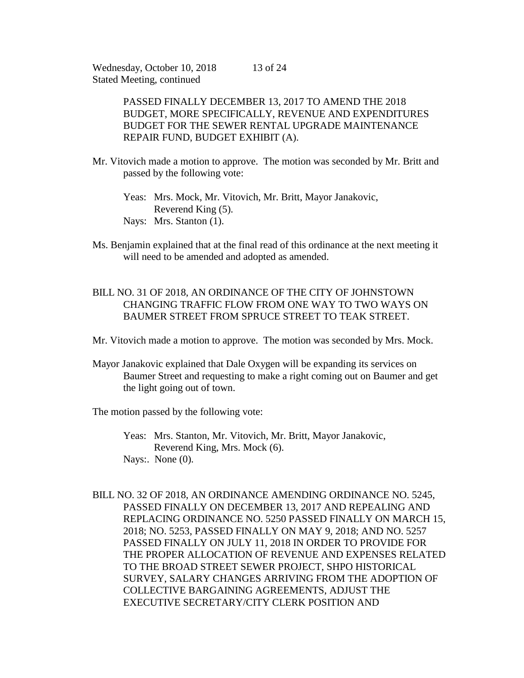> PASSED FINALLY DECEMBER 13, 2017 TO AMEND THE 2018 BUDGET, MORE SPECIFICALLY, REVENUE AND EXPENDITURES BUDGET FOR THE SEWER RENTAL UPGRADE MAINTENANCE REPAIR FUND, BUDGET EXHIBIT (A).

- Mr. Vitovich made a motion to approve. The motion was seconded by Mr. Britt and passed by the following vote:
	- Yeas: Mrs. Mock, Mr. Vitovich, Mr. Britt, Mayor Janakovic, Reverend King (5). Nays: Mrs. Stanton (1).
- Ms. Benjamin explained that at the final read of this ordinance at the next meeting it will need to be amended and adopted as amended.

# BILL NO. 31 OF 2018, AN ORDINANCE OF THE CITY OF JOHNSTOWN CHANGING TRAFFIC FLOW FROM ONE WAY TO TWO WAYS ON BAUMER STREET FROM SPRUCE STREET TO TEAK STREET.

Mr. Vitovich made a motion to approve. The motion was seconded by Mrs. Mock.

Mayor Janakovic explained that Dale Oxygen will be expanding its services on Baumer Street and requesting to make a right coming out on Baumer and get the light going out of town.

The motion passed by the following vote:

- Yeas: Mrs. Stanton, Mr. Vitovich, Mr. Britt, Mayor Janakovic, Reverend King, Mrs. Mock (6). Nays: None  $(0)$ .
- BILL NO. 32 OF 2018, AN ORDINANCE AMENDING ORDINANCE NO. 5245, PASSED FINALLY ON DECEMBER 13, 2017 AND REPEALING AND REPLACING ORDINANCE NO. 5250 PASSED FINALLY ON MARCH 15, 2018; NO. 5253, PASSED FINALLY ON MAY 9, 2018; AND NO. 5257 PASSED FINALLY ON JULY 11, 2018 IN ORDER TO PROVIDE FOR THE PROPER ALLOCATION OF REVENUE AND EXPENSES RELATED TO THE BROAD STREET SEWER PROJECT, SHPO HISTORICAL SURVEY, SALARY CHANGES ARRIVING FROM THE ADOPTION OF COLLECTIVE BARGAINING AGREEMENTS, ADJUST THE EXECUTIVE SECRETARY/CITY CLERK POSITION AND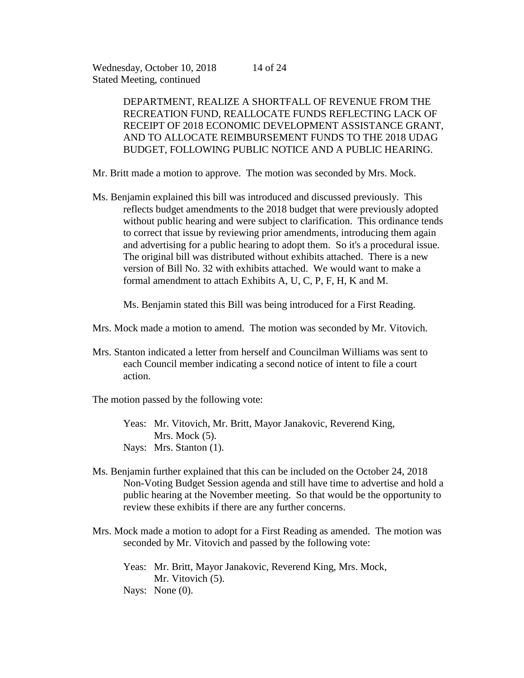DEPARTMENT, REALIZE A SHORTFALL OF REVENUE FROM THE RECREATION FUND, REALLOCATE FUNDS REFLECTING LACK OF

14 of 24

RECEIPT OF 2018 ECONOMIC DEVELOPMENT ASSISTANCE GRANT, AND TO ALLOCATE REIMBURSEMENT FUNDS TO THE 2018 UDAG BUDGET, FOLLOWING PUBLIC NOTICE AND A PUBLIC HEARING.

Mr. Britt made a motion to approve. The motion was seconded by Mrs. Mock.

Ms. Benjamin explained this bill was introduced and discussed previously. This reflects budget amendments to the 2018 budget that were previously adopted without public hearing and were subject to clarification. This ordinance tends to correct that issue by reviewing prior amendments, introducing them again and advertising for a public hearing to adopt them. So it's a procedural issue. The original bill was distributed without exhibits attached. There is a new version of Bill No. 32 with exhibits attached. We would want to make a formal amendment to attach Exhibits A, U, C, P, F, H, K and M.

Ms. Benjamin stated this Bill was being introduced for a First Reading.

- Mrs. Mock made a motion to amend. The motion was seconded by Mr. Vitovich.
- Mrs. Stanton indicated a letter from herself and Councilman Williams was sent to each Council member indicating a second notice of intent to file a court action.

The motion passed by the following vote:

Yeas: Mr. Vitovich, Mr. Britt, Mayor Janakovic, Reverend King, Mrs. Mock  $(5)$ . Nays: Mrs. Stanton (1).

- Ms. Benjamin further explained that this can be included on the October 24, 2018 Non-Voting Budget Session agenda and still have time to advertise and hold a public hearing at the November meeting. So that would be the opportunity to review these exhibits if there are any further concerns.
- Mrs. Mock made a motion to adopt for a First Reading as amended. The motion was seconded by Mr. Vitovich and passed by the following vote:
	- Yeas: Mr. Britt, Mayor Janakovic, Reverend King, Mrs. Mock, Mr. Vitovich  $(5)$ .
	- Nays: None  $(0)$ .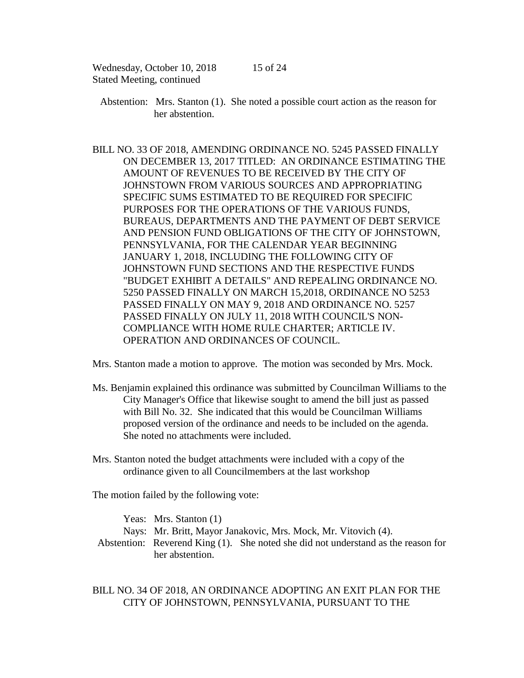- Abstention: Mrs. Stanton (1). She noted a possible court action as the reason for her abstention.
- BILL NO. 33 OF 2018, AMENDING ORDINANCE NO. 5245 PASSED FINALLY ON DECEMBER 13, 2017 TITLED: AN ORDINANCE ESTIMATING THE AMOUNT OF REVENUES TO BE RECEIVED BY THE CITY OF JOHNSTOWN FROM VARIOUS SOURCES AND APPROPRIATING SPECIFIC SUMS ESTIMATED TO BE REQUIRED FOR SPECIFIC PURPOSES FOR THE OPERATIONS OF THE VARIOUS FUNDS, BUREAUS, DEPARTMENTS AND THE PAYMENT OF DEBT SERVICE AND PENSION FUND OBLIGATIONS OF THE CITY OF JOHNSTOWN, PENNSYLVANIA, FOR THE CALENDAR YEAR BEGINNING JANUARY 1, 2018, INCLUDING THE FOLLOWING CITY OF JOHNSTOWN FUND SECTIONS AND THE RESPECTIVE FUNDS "BUDGET EXHIBIT A DETAILS" AND REPEALING ORDINANCE NO. 5250 PASSED FINALLY ON MARCH 15,2018, ORDINANCE NO 5253 PASSED FINALLY ON MAY 9, 2018 AND ORDINANCE NO. 5257 PASSED FINALLY ON JULY 11, 2018 WITH COUNCIL'S NON-COMPLIANCE WITH HOME RULE CHARTER; ARTICLE IV. OPERATION AND ORDINANCES OF COUNCIL.

Mrs. Stanton made a motion to approve. The motion was seconded by Mrs. Mock.

- Ms. Benjamin explained this ordinance was submitted by Councilman Williams to the City Manager's Office that likewise sought to amend the bill just as passed with Bill No. 32. She indicated that this would be Councilman Williams proposed version of the ordinance and needs to be included on the agenda. She noted no attachments were included.
- Mrs. Stanton noted the budget attachments were included with a copy of the ordinance given to all Councilmembers at the last workshop

The motion failed by the following vote:

| Yeas: Mrs. Stanton $(1)$                                       |                                                                                   |
|----------------------------------------------------------------|-----------------------------------------------------------------------------------|
| Nays: Mr. Britt, Mayor Janakovic, Mrs. Mock, Mr. Vitovich (4). |                                                                                   |
|                                                                | Abstention: Reverend King (1). She noted she did not understand as the reason for |
| her abstention.                                                |                                                                                   |

BILL NO. 34 OF 2018, AN ORDINANCE ADOPTING AN EXIT PLAN FOR THE CITY OF JOHNSTOWN, PENNSYLVANIA, PURSUANT TO THE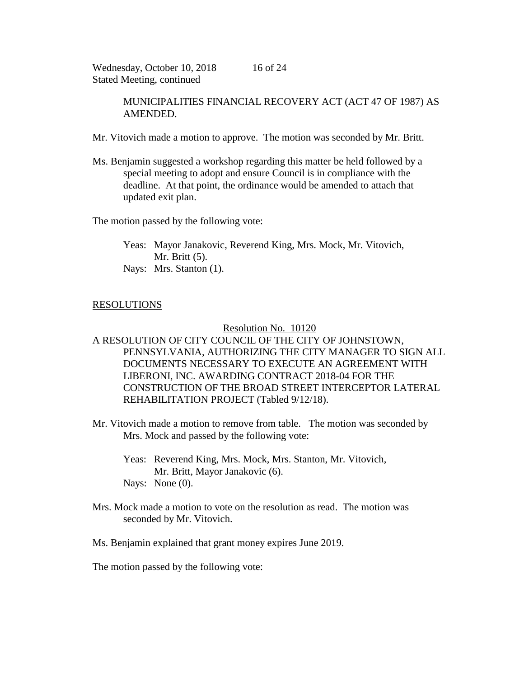MUNICIPALITIES FINANCIAL RECOVERY ACT (ACT 47 OF 1987) AS AMENDED.

- Mr. Vitovich made a motion to approve. The motion was seconded by Mr. Britt.
- Ms. Benjamin suggested a workshop regarding this matter be held followed by a special meeting to adopt and ensure Council is in compliance with the deadline. At that point, the ordinance would be amended to attach that updated exit plan.

The motion passed by the following vote:

Yeas: Mayor Janakovic, Reverend King, Mrs. Mock, Mr. Vitovich, Mr. Britt (5). Nays: Mrs. Stanton (1).

# RESOLUTIONS

## Resolution No. 10120

# A RESOLUTION OF CITY COUNCIL OF THE CITY OF JOHNSTOWN, PENNSYLVANIA, AUTHORIZING THE CITY MANAGER TO SIGN ALL DOCUMENTS NECESSARY TO EXECUTE AN AGREEMENT WITH LIBERONI, INC. AWARDING CONTRACT 2018-04 FOR THE CONSTRUCTION OF THE BROAD STREET INTERCEPTOR LATERAL REHABILITATION PROJECT (Tabled 9/12/18).

- Mr. Vitovich made a motion to remove from table. The motion was seconded by Mrs. Mock and passed by the following vote:
	- Yeas: Reverend King, Mrs. Mock, Mrs. Stanton, Mr. Vitovich, Mr. Britt, Mayor Janakovic (6). Nays: None (0).
- Mrs. Mock made a motion to vote on the resolution as read. The motion was seconded by Mr. Vitovich.
- Ms. Benjamin explained that grant money expires June 2019.

The motion passed by the following vote: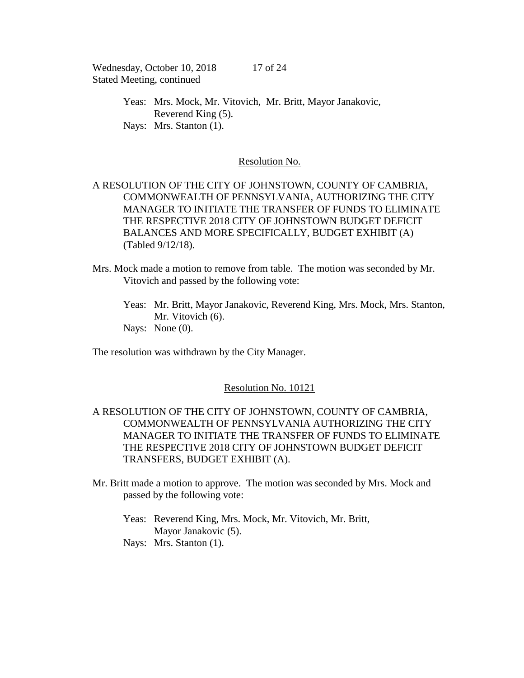> Yeas: Mrs. Mock, Mr. Vitovich, Mr. Britt, Mayor Janakovic, Reverend King (5). Nays: Mrs. Stanton (1).

### Resolution No.

# A RESOLUTION OF THE CITY OF JOHNSTOWN, COUNTY OF CAMBRIA, COMMONWEALTH OF PENNSYLVANIA, AUTHORIZING THE CITY MANAGER TO INITIATE THE TRANSFER OF FUNDS TO ELIMINATE THE RESPECTIVE 2018 CITY OF JOHNSTOWN BUDGET DEFICIT BALANCES AND MORE SPECIFICALLY, BUDGET EXHIBIT (A) (Tabled 9/12/18).

- Mrs. Mock made a motion to remove from table. The motion was seconded by Mr. Vitovich and passed by the following vote:
	- Yeas: Mr. Britt, Mayor Janakovic, Reverend King, Mrs. Mock, Mrs. Stanton, Mr. Vitovich (6). Nays: None  $(0)$ .

The resolution was withdrawn by the City Manager.

# Resolution No. 10121

# A RESOLUTION OF THE CITY OF JOHNSTOWN, COUNTY OF CAMBRIA, COMMONWEALTH OF PENNSYLVANIA AUTHORIZING THE CITY MANAGER TO INITIATE THE TRANSFER OF FUNDS TO ELIMINATE THE RESPECTIVE 2018 CITY OF JOHNSTOWN BUDGET DEFICIT TRANSFERS, BUDGET EXHIBIT (A).

Mr. Britt made a motion to approve. The motion was seconded by Mrs. Mock and passed by the following vote:

Yeas: Reverend King, Mrs. Mock, Mr. Vitovich, Mr. Britt, Mayor Janakovic (5). Nays: Mrs. Stanton (1).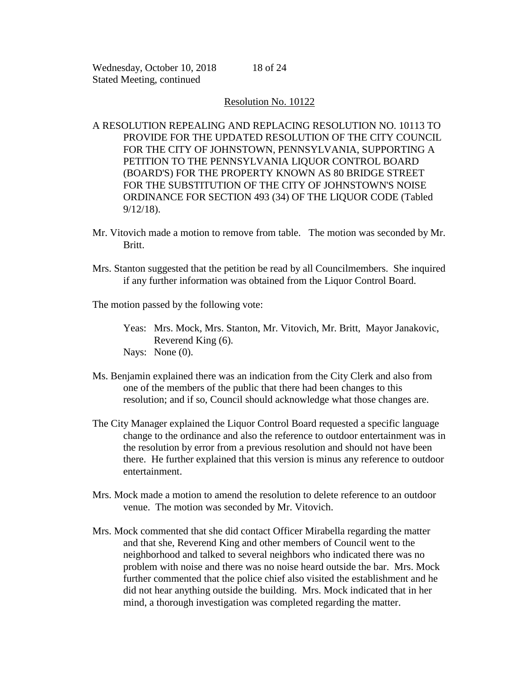## Resolution No. 10122

A RESOLUTION REPEALING AND REPLACING RESOLUTION NO. 10113 TO PROVIDE FOR THE UPDATED RESOLUTION OF THE CITY COUNCIL FOR THE CITY OF JOHNSTOWN, PENNSYLVANIA, SUPPORTING A PETITION TO THE PENNSYLVANIA LIQUOR CONTROL BOARD (BOARD'S) FOR THE PROPERTY KNOWN AS 80 BRIDGE STREET FOR THE SUBSTITUTION OF THE CITY OF JOHNSTOWN'S NOISE ORDINANCE FOR SECTION 493 (34) OF THE LIQUOR CODE (Tabled 9/12/18).

- Mr. Vitovich made a motion to remove from table. The motion was seconded by Mr. Britt.
- Mrs. Stanton suggested that the petition be read by all Councilmembers. She inquired if any further information was obtained from the Liquor Control Board.

The motion passed by the following vote:

- Yeas: Mrs. Mock, Mrs. Stanton, Mr. Vitovich, Mr. Britt, Mayor Janakovic, Reverend King (6).
- Nays: None (0).
- Ms. Benjamin explained there was an indication from the City Clerk and also from one of the members of the public that there had been changes to this resolution; and if so, Council should acknowledge what those changes are.
- The City Manager explained the Liquor Control Board requested a specific language change to the ordinance and also the reference to outdoor entertainment was in the resolution by error from a previous resolution and should not have been there. He further explained that this version is minus any reference to outdoor entertainment.
- Mrs. Mock made a motion to amend the resolution to delete reference to an outdoor venue. The motion was seconded by Mr. Vitovich.
- Mrs. Mock commented that she did contact Officer Mirabella regarding the matter and that she, Reverend King and other members of Council went to the neighborhood and talked to several neighbors who indicated there was no problem with noise and there was no noise heard outside the bar. Mrs. Mock further commented that the police chief also visited the establishment and he did not hear anything outside the building. Mrs. Mock indicated that in her mind, a thorough investigation was completed regarding the matter.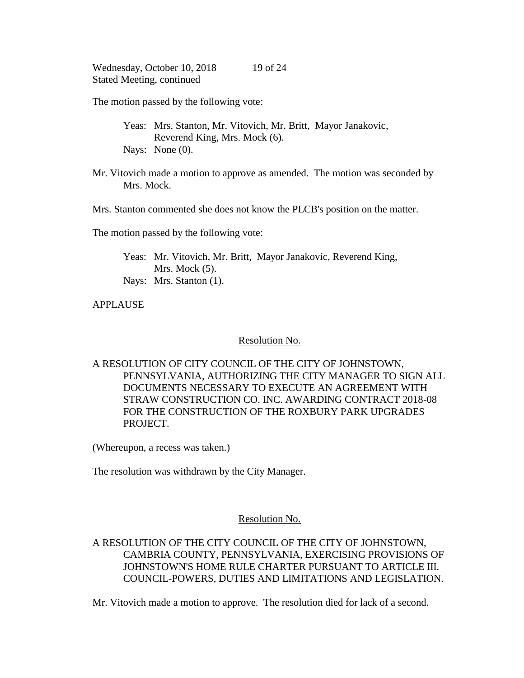The motion passed by the following vote:

Yeas: Mrs. Stanton, Mr. Vitovich, Mr. Britt, Mayor Janakovic, Reverend King, Mrs. Mock (6). Nays: None (0).

Mr. Vitovich made a motion to approve as amended. The motion was seconded by Mrs. Mock.

Mrs. Stanton commented she does not know the PLCB's position on the matter.

The motion passed by the following vote:

Yeas: Mr. Vitovich, Mr. Britt, Mayor Janakovic, Reverend King, Mrs. Mock  $(5)$ . Nays: Mrs. Stanton (1).

APPLAUSE

Resolution No.

A RESOLUTION OF CITY COUNCIL OF THE CITY OF JOHNSTOWN, PENNSYLVANIA, AUTHORIZING THE CITY MANAGER TO SIGN ALL DOCUMENTS NECESSARY TO EXECUTE AN AGREEMENT WITH STRAW CONSTRUCTION CO. INC. AWARDING CONTRACT 2018-08 FOR THE CONSTRUCTION OF THE ROXBURY PARK UPGRADES PROJECT.

(Whereupon, a recess was taken.)

The resolution was withdrawn by the City Manager.

# Resolution No.

# A RESOLUTION OF THE CITY COUNCIL OF THE CITY OF JOHNSTOWN, CAMBRIA COUNTY, PENNSYLVANIA, EXERCISING PROVISIONS OF JOHNSTOWN'S HOME RULE CHARTER PURSUANT TO ARTICLE III. COUNCIL-POWERS, DUTIES AND LIMITATIONS AND LEGISLATION.

Mr. Vitovich made a motion to approve. The resolution died for lack of a second.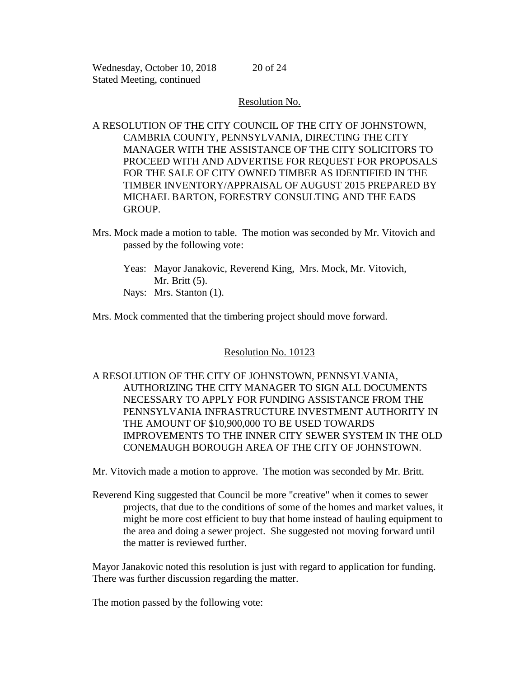20 of 24

## Resolution No.

A RESOLUTION OF THE CITY COUNCIL OF THE CITY OF JOHNSTOWN, CAMBRIA COUNTY, PENNSYLVANIA, DIRECTING THE CITY MANAGER WITH THE ASSISTANCE OF THE CITY SOLICITORS TO PROCEED WITH AND ADVERTISE FOR REQUEST FOR PROPOSALS FOR THE SALE OF CITY OWNED TIMBER AS IDENTIFIED IN THE TIMBER INVENTORY/APPRAISAL OF AUGUST 2015 PREPARED BY MICHAEL BARTON, FORESTRY CONSULTING AND THE EADS GROUP.

- Mrs. Mock made a motion to table. The motion was seconded by Mr. Vitovich and passed by the following vote:
	- Yeas: Mayor Janakovic, Reverend King, Mrs. Mock, Mr. Vitovich, Mr. Britt (5).
	- Nays: Mrs. Stanton (1).

Mrs. Mock commented that the timbering project should move forward.

Resolution No. 10123

A RESOLUTION OF THE CITY OF JOHNSTOWN, PENNSYLVANIA, AUTHORIZING THE CITY MANAGER TO SIGN ALL DOCUMENTS NECESSARY TO APPLY FOR FUNDING ASSISTANCE FROM THE PENNSYLVANIA INFRASTRUCTURE INVESTMENT AUTHORITY IN THE AMOUNT OF \$10,900,000 TO BE USED TOWARDS IMPROVEMENTS TO THE INNER CITY SEWER SYSTEM IN THE OLD CONEMAUGH BOROUGH AREA OF THE CITY OF JOHNSTOWN.

Mr. Vitovich made a motion to approve. The motion was seconded by Mr. Britt.

Reverend King suggested that Council be more "creative" when it comes to sewer projects, that due to the conditions of some of the homes and market values, it might be more cost efficient to buy that home instead of hauling equipment to the area and doing a sewer project. She suggested not moving forward until the matter is reviewed further.

Mayor Janakovic noted this resolution is just with regard to application for funding. There was further discussion regarding the matter.

The motion passed by the following vote: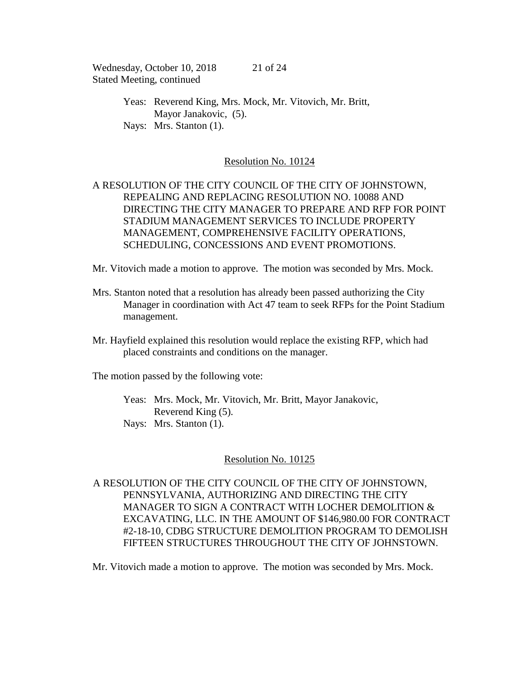> Yeas: Reverend King, Mrs. Mock, Mr. Vitovich, Mr. Britt, Mayor Janakovic, (5). Nays: Mrs. Stanton (1).

### Resolution No. 10124

# A RESOLUTION OF THE CITY COUNCIL OF THE CITY OF JOHNSTOWN, REPEALING AND REPLACING RESOLUTION NO. 10088 AND DIRECTING THE CITY MANAGER TO PREPARE AND RFP FOR POINT STADIUM MANAGEMENT SERVICES TO INCLUDE PROPERTY MANAGEMENT, COMPREHENSIVE FACILITY OPERATIONS, SCHEDULING, CONCESSIONS AND EVENT PROMOTIONS.

Mr. Vitovich made a motion to approve. The motion was seconded by Mrs. Mock.

- Mrs. Stanton noted that a resolution has already been passed authorizing the City Manager in coordination with Act 47 team to seek RFPs for the Point Stadium management.
- Mr. Hayfield explained this resolution would replace the existing RFP, which had placed constraints and conditions on the manager.

The motion passed by the following vote:

Yeas: Mrs. Mock, Mr. Vitovich, Mr. Britt, Mayor Janakovic, Reverend King (5). Nays: Mrs. Stanton (1).

#### Resolution No. 10125

A RESOLUTION OF THE CITY COUNCIL OF THE CITY OF JOHNSTOWN, PENNSYLVANIA, AUTHORIZING AND DIRECTING THE CITY MANAGER TO SIGN A CONTRACT WITH LOCHER DEMOLITION & EXCAVATING, LLC. IN THE AMOUNT OF \$146,980.00 FOR CONTRACT #2-18-10, CDBG STRUCTURE DEMOLITION PROGRAM TO DEMOLISH FIFTEEN STRUCTURES THROUGHOUT THE CITY OF JOHNSTOWN.

Mr. Vitovich made a motion to approve. The motion was seconded by Mrs. Mock.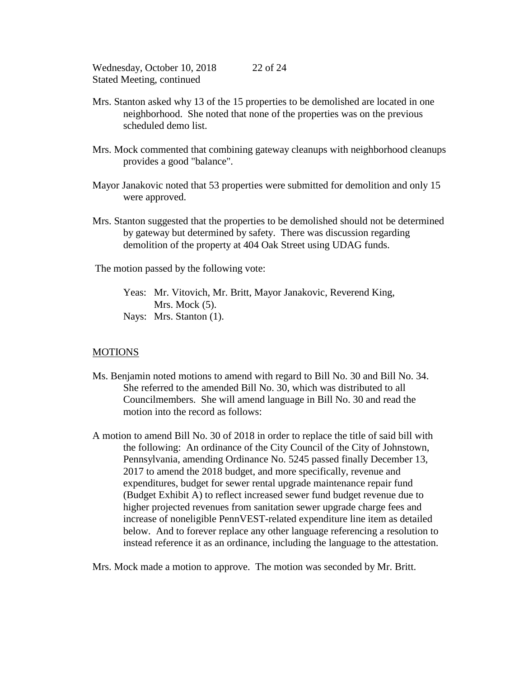- Mrs. Stanton asked why 13 of the 15 properties to be demolished are located in one neighborhood. She noted that none of the properties was on the previous scheduled demo list.
- Mrs. Mock commented that combining gateway cleanups with neighborhood cleanups provides a good "balance".
- Mayor Janakovic noted that 53 properties were submitted for demolition and only 15 were approved.
- Mrs. Stanton suggested that the properties to be demolished should not be determined by gateway but determined by safety. There was discussion regarding demolition of the property at 404 Oak Street using UDAG funds.

The motion passed by the following vote:

Yeas: Mr. Vitovich, Mr. Britt, Mayor Janakovic, Reverend King, Mrs. Mock  $(5)$ . Nays: Mrs. Stanton (1).

### MOTIONS

- Ms. Benjamin noted motions to amend with regard to Bill No. 30 and Bill No. 34. She referred to the amended Bill No. 30, which was distributed to all Councilmembers. She will amend language in Bill No. 30 and read the motion into the record as follows:
- A motion to amend Bill No. 30 of 2018 in order to replace the title of said bill with the following: An ordinance of the City Council of the City of Johnstown, Pennsylvania, amending Ordinance No. 5245 passed finally December 13, 2017 to amend the 2018 budget, and more specifically, revenue and expenditures, budget for sewer rental upgrade maintenance repair fund (Budget Exhibit A) to reflect increased sewer fund budget revenue due to higher projected revenues from sanitation sewer upgrade charge fees and increase of noneligible PennVEST-related expenditure line item as detailed below. And to forever replace any other language referencing a resolution to instead reference it as an ordinance, including the language to the attestation.

Mrs. Mock made a motion to approve. The motion was seconded by Mr. Britt.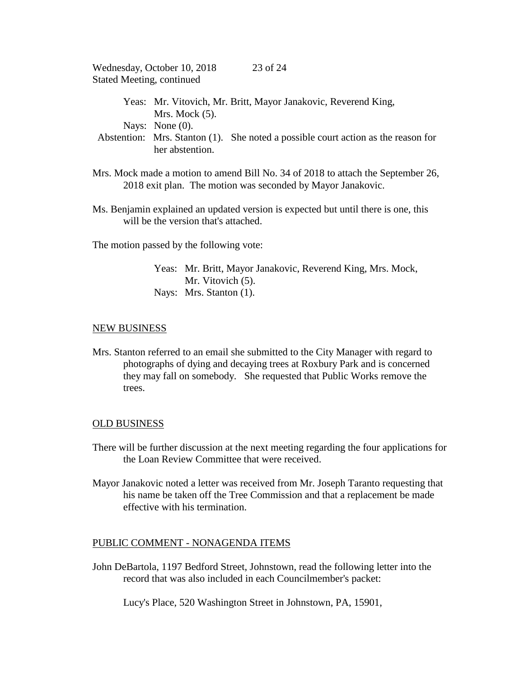|                                  | Wednesday, October 10, 2018 | 23 of 24                                                                          |
|----------------------------------|-----------------------------|-----------------------------------------------------------------------------------|
| <b>Stated Meeting, continued</b> |                             |                                                                                   |
|                                  | Mrs. Mock $(5)$ .           | Yeas: Mr. Vitovich, Mr. Britt, Mayor Janakovic, Reverend King,                    |
|                                  | Nays: None $(0)$ .          |                                                                                   |
|                                  | her abstention.             | Abstention: Mrs. Stanton (1). She noted a possible court action as the reason for |

- Mrs. Mock made a motion to amend Bill No. 34 of 2018 to attach the September 26, 2018 exit plan. The motion was seconded by Mayor Janakovic.
- Ms. Benjamin explained an updated version is expected but until there is one, this will be the version that's attached.

The motion passed by the following vote:

Yeas: Mr. Britt, Mayor Janakovic, Reverend King, Mrs. Mock, Mr. Vitovich  $(5)$ . Nays: Mrs. Stanton (1).

#### NEW BUSINESS

Mrs. Stanton referred to an email she submitted to the City Manager with regard to photographs of dying and decaying trees at Roxbury Park and is concerned they may fall on somebody. She requested that Public Works remove the trees.

#### OLD BUSINESS

- There will be further discussion at the next meeting regarding the four applications for the Loan Review Committee that were received.
- Mayor Janakovic noted a letter was received from Mr. Joseph Taranto requesting that his name be taken off the Tree Commission and that a replacement be made effective with his termination.

### PUBLIC COMMENT - NONAGENDA ITEMS

John DeBartola, 1197 Bedford Street, Johnstown, read the following letter into the record that was also included in each Councilmember's packet:

Lucy's Place, 520 Washington Street in Johnstown, PA, 15901,